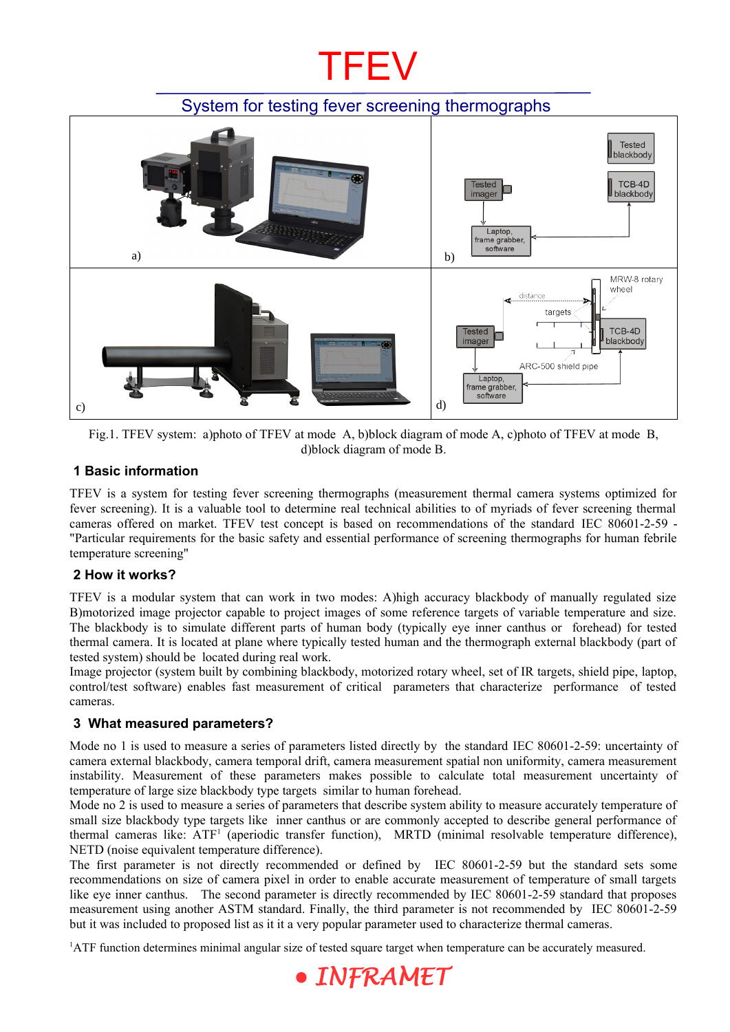## **TFEV**

## System for testing fever screening thermographs



Fig.1. TFEV system: a)photo of TFEV at mode A, b)block diagram of mode A, c)photo of TFEV at mode B, d)block diagram of mode B.

### **1 Basic information**

TFEV is a system for testing fever screening thermographs (measurement thermal camera systems optimized for fever screening). It is a valuable tool to determine real technical abilities to of myriads of fever screening thermal cameras offered on market. TFEV test concept is based on recommendations of the standard IEC 80601-2-59 - "Particular requirements for the basic safety and essential performance of screening thermographs for human febrile temperature screening"

#### **2 How it works?**

TFEV is a modular system that can work in two modes: A)high accuracy blackbody of manually regulated size B)motorized image projector capable to project images of some reference targets of variable temperature and size. The blackbody is to simulate different parts of human body (typically eye inner canthus or forehead) for tested thermal camera. It is located at plane where typically tested human and the thermograph external blackbody (part of tested system) should be located during real work.

Image projector (system built by combining blackbody, motorized rotary wheel, set of IR targets, shield pipe, laptop, control/test software) enables fast measurement of critical parameters that characterize performance of tested cameras.

## **3 What measured parameters?**

Mode no 1 is used to measure a series of parameters listed directly by the standard IEC 80601-2-59: uncertainty of camera external blackbody, camera temporal drift, camera measurement spatial non uniformity, camera measurement instability. Measurement of these parameters makes possible to calculate total measurement uncertainty of temperature of large size blackbody type targets similar to human forehead.

Mode no 2 is used to measure a series of parameters that describe system ability to measure accurately temperature of small size blackbody type targets like inner canthus or are commonly accepted to describe general performance of thermal cameras like: ATF<sup>[1](#page-0-0)</sup> (aperiodic transfer function), MRTD (minimal resolvable temperature difference), NETD (noise equivalent temperature difference).

The first parameter is not directly recommended or defined by IEC 80601-2-59 but the standard sets some recommendations on size of camera pixel in order to enable accurate measurement of temperature of small targets like eye inner canthus. The second parameter is directly recommended by IEC 80601-2-59 standard that proposes measurement using another ASTM standard. Finally, the third parameter is not recommended by IEC 80601-2-59 but it was included to proposed list as it it a very popular parameter used to characterize thermal cameras.

<span id="page-0-0"></span>1ATF function determines minimal angular size of tested square target when temperature can be accurately measured.

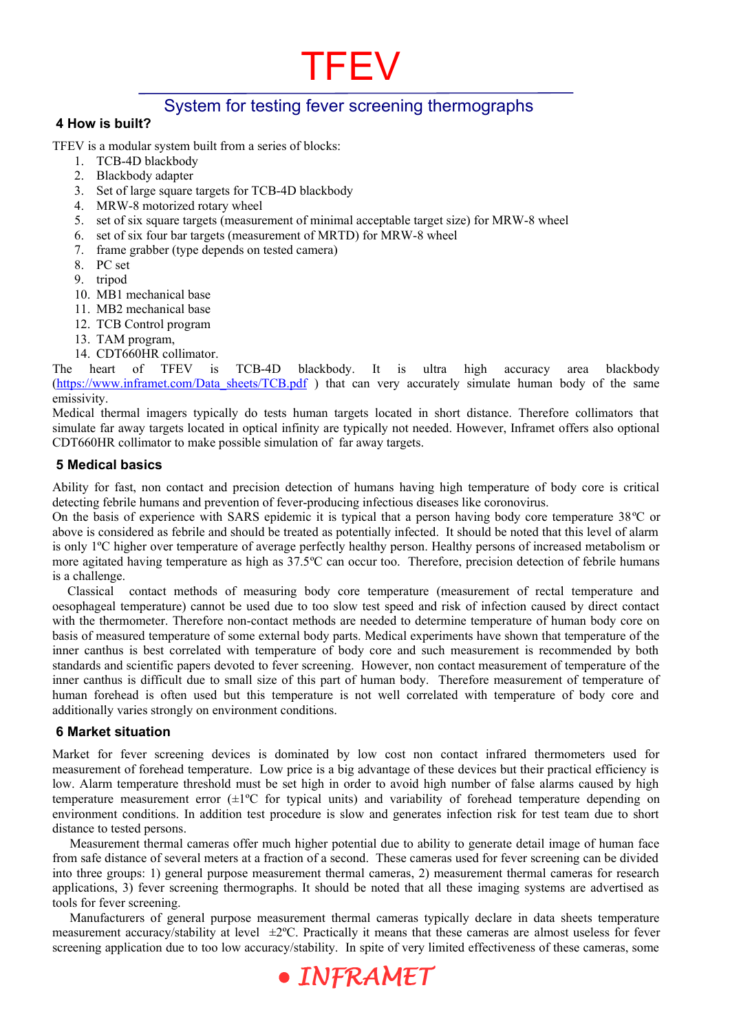## System for testing fever screening thermographs

**TFEV** 

#### **4 How is built?**

TFEV is a modular system built from a series of blocks:

- 1. TCB-4D blackbody
- 2. Blackbody adapter
- 3. Set of large square targets for TCB-4D blackbody
- 4. MRW-8 motorized rotary wheel
- 5. set of six square targets (measurement of minimal acceptable target size) for MRW-8 wheel
- 6. set of six four bar targets (measurement of MRTD) for MRW-8 wheel
- 7. frame grabber (type depends on tested camera)
- 8. PC set
- 9. tripod
- 10. MB1 mechanical base
- 11. MB2 mechanical base
- 12. TCB Control program
- 13. TAM program,
- 14. CDT660HR collimator.

The heart of TFEV is TCB-4D blackbody. It is ultra high accuracy area blackbody [\(https://www.inframet.com/Data\\_sheets/TCB.pdf](https://www.inframet.com/Data_sheets/TCB.pdf) ) that can very accurately simulate human body of the same emissivity.

Medical thermal imagers typically do tests human targets located in short distance. Therefore collimators that simulate far away targets located in optical infinity are typically not needed. However, Inframet offers also optional CDT660HR collimator to make possible simulation of far away targets.

#### **5 Medical basics**

Ability for fast, non contact and precision detection of humans having high temperature of body core is critical detecting febrile humans and prevention of fever-producing infectious diseases like coronovirus.

On the basis of experience with SARS epidemic it is typical that a person having body core temperature 38ºC or above is considered as febrile and should be treated as potentially infected. It should be noted that this level of alarm is only 1ºC higher over temperature of average perfectly healthy person. Healthy persons of increased metabolism or more agitated having temperature as high as 37.5ºC can occur too. Therefore, precision detection of febrile humans is a challenge.

 Classical contact methods of measuring body core temperature (measurement of rectal temperature and oesophageal temperature) cannot be used due to too slow test speed and risk of infection caused by direct contact with the thermometer. Therefore non-contact methods are needed to determine temperature of human body core on basis of measured temperature of some external body parts. Medical experiments have shown that temperature of the inner canthus is best correlated with temperature of body core and such measurement is recommended by both standards and scientific papers devoted to fever screening. However, non contact measurement of temperature of the inner canthus is difficult due to small size of this part of human body. Therefore measurement of temperature of human forehead is often used but this temperature is not well correlated with temperature of body core and additionally varies strongly on environment conditions.

#### **6 Market situation**

Market for fever screening devices is dominated by low cost non contact infrared thermometers used for measurement of forehead temperature. Low price is a big advantage of these devices but their practical efficiency is low. Alarm temperature threshold must be set high in order to avoid high number of false alarms caused by high temperature measurement error (±1ºC for typical units) and variability of forehead temperature depending on environment conditions. In addition test procedure is slow and generates infection risk for test team due to short distance to tested persons.

Measurement thermal cameras offer much higher potential due to ability to generate detail image of human face from safe distance of several meters at a fraction of a second. These cameras used for fever screening can be divided into three groups: 1) general purpose measurement thermal cameras, 2) measurement thermal cameras for research applications, 3) fever screening thermographs. It should be noted that all these imaging systems are advertised as tools for fever screening.

Manufacturers of general purpose measurement thermal cameras typically declare in data sheets temperature measurement accuracy/stability at level  $\pm 2^{\circ}$ C. Practically it means that these cameras are almost useless for fever screening application due to too low accuracy/stability. In spite of very limited effectiveness of these cameras, some